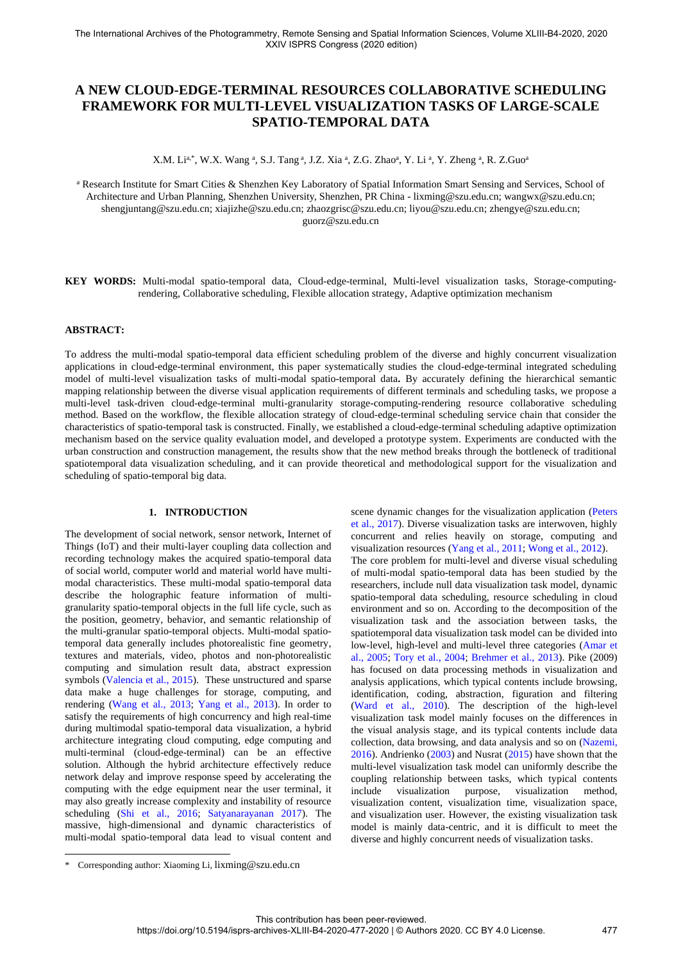# **A NEW CLOUD-EDGE-TERMINAL RESOURCES COLLABORATIVE SCHEDULING FRAMEWORK FOR MULTI-LEVEL VISUALIZATION TASKS OF LARGE-SCALE SPATIO-TEMPORAL DATA**

X.M. Li<sup>a,\*</sup>, W.X. Wang <sup>a</sup>, S.J. Tang <sup>a</sup>, J.Z. Xia <sup>a</sup>, Z.G. Zhao<sup>a</sup>, Y. Li <sup>a</sup>, Y. Zheng <sup>a</sup>, R. Z.Guo<sup>a</sup>

<sup>a</sup> Research Institute for Smart Cities & Shenzhen Key Laboratory of Spatial Information Smart Sensing and Services, School of Architecture and Urban Planning, Shenzhen University, Shenzhen, PR China - lixming@szu.edu.cn; wangwx@szu.edu.cn; shengjuntang@szu.edu.cn; xiajizhe@szu.edu.cn; zhaozgrisc@szu.edu.cn; liyou@szu.edu.cn; zhengye@szu.edu.cn; guorz@szu.edu.cn

**KEY WORDS:** Multi-modal spatio-temporal data, Cloud-edge-terminal, Multi-level visualization tasks, Storage-computingrendering, Collaborative scheduling, Flexible allocation strategy, Adaptive optimization mechanism

# **ABSTRACT:**

To address the multi-modal spatio-temporal data efficient scheduling problem of the diverse and highly concurrent visualization applications in cloud-edge-terminal environment, this paper systematically studies the cloud-edge-terminal integrated scheduling model of multi-level visualization tasks of multi-modal spatio-temporal data**.** By accurately defining the hierarchical semantic mapping relationship between the diverse visual application requirements of different terminals and scheduling tasks, we propose a multi-level task-driven cloud-edge-terminal multi-granularity storage-computing-rendering resource collaborative scheduling method. Based on the workflow, the flexible allocation strategy of cloud-edge-terminal scheduling service chain that consider the characteristics of spatio-temporal task is constructed. Finally, we established a cloud-edge-terminal scheduling adaptive optimization mechanism based on the service quality evaluation model, and developed a prototype system. Experiments are conducted with the urban construction and construction management, the results show that the new method breaks through the bottleneck of traditional spatiotemporal data visualization scheduling, and it can provide theoretical and methodological support for the visualization and scheduling of spatio-temporal big data.

## **1. INTRODUCTION**

The development of social network, sensor network, Internet of Things (IoT) and their multi-layer coupling data collection and recording technology makes the acquired spatio-temporal data of social world, computer world and material world have multimodal characteristics. These multi-modal spatio-temporal data describe the holographic feature information of multigranularity spatio-temporal objects in the full life cycle, such as the position, geometry, behavior, and semantic relationship of the multi-granular spatio-temporal objects. Multi-modal spatiotemporal data generally includes photorealistic fine geometry, textures and materials, video, photos and non-photorealistic computing and simulation result data, abstract expression symbols (Valencia et al., 2015). These unstructured and sparse data make a huge challenges for storage, computing, and rendering (Wang et al., 2013; Yang et al., 2013). In order to satisfy the requirements of high concurrency and high real-time during multimodal spatio-temporal data visualization, a hybrid architecture integrating cloud computing, edge computing and multi-terminal (cloud-edge-terminal) can be an effective solution. Although the hybrid architecture effectively reduce network delay and improve response speed by accelerating the computing with the edge equipment near the user terminal, it may also greatly increase complexity and instability of resource scheduling (Shi et al., 2016; Satyanarayanan 2017). The massive, high-dimensional and dynamic characteristics of multi-modal spatio-temporal data lead to visual content and scene dynamic changes for the visualization application (Peters et al., 2017). Diverse visualization tasks are interwoven, highly concurrent and relies heavily on storage, computing and visualization resources (Yang et al., 2011; Wong et al., 2012). The core problem for multi-level and diverse visual scheduling of multi-modal spatio-temporal data has been studied by the researchers, include null data visualization task model, dynamic spatio-temporal data scheduling, resource scheduling in cloud environment and so on. According to the decomposition of the visualization task and the association between tasks, the spatiotemporal data visualization task model can be divided into low-level, high-level and multi-level three categories (Amar et al., 2005; Tory et al., 2004; Brehmer et al., 2013). Pike (2009) has focused on data processing methods in visualization and analysis applications, which typical contents include browsing, identification, coding, abstraction, figuration and filtering (Ward et al., 2010). The description of the high-level visualization task model mainly focuses on the differences in the visual analysis stage, and its typical contents include data collection, data browsing, and data analysis and so on (Nazemi, 2016). Andrienko (2003) and Nusrat (2015) have shown that the multi-level visualization task model can uniformly describe the coupling relationship between tasks, which typical contents include visualization purpose, visualization method, visualization content, visualization time, visualization space, and visualization user. However, the existing visualization task model is mainly data-centric, and it is difficult to meet the diverse and highly concurrent needs of visualization tasks.

j

<sup>\*</sup> Corresponding author: Xiaoming Li, lixming@szu.edu.cn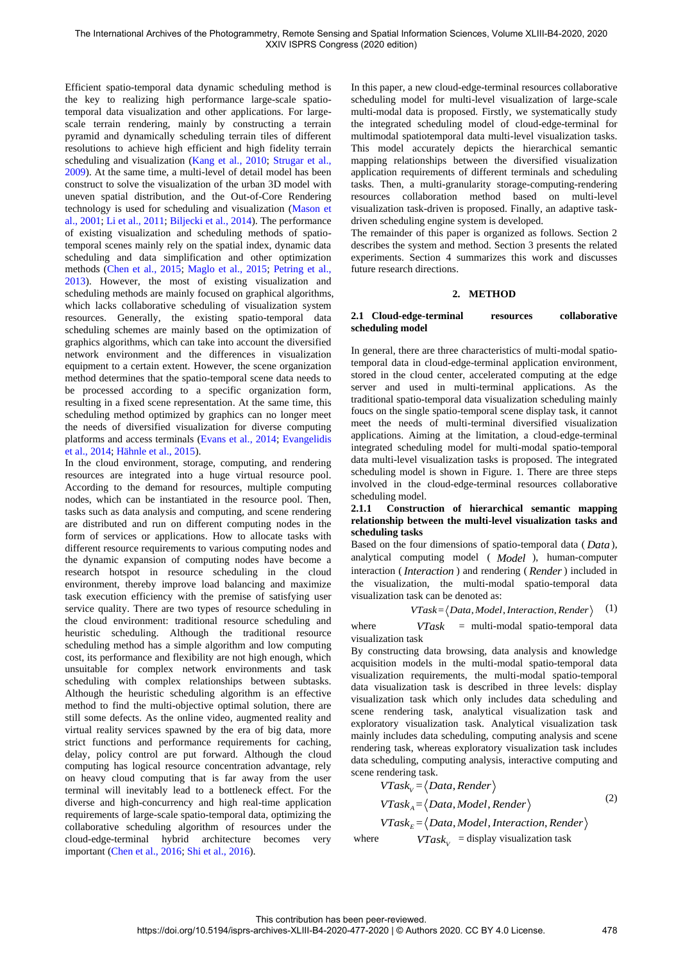Efficient spatio-temporal data dynamic scheduling method is the key to realizing high performance large-scale spatiotemporal data visualization and other applications. For largescale terrain rendering, mainly by constructing a terrain pyramid and dynamically scheduling terrain tiles of different resolutions to achieve high efficient and high fidelity terrain scheduling and visualization (Kang et al., 2010; Strugar et al., 2009). At the same time, a multi-level of detail model has been construct to solve the visualization of the urban 3D model with uneven spatial distribution, and the Out-of-Core Rendering technology is used for scheduling and visualization (Mason et al., 2001; Li et al., 2011; Biljecki et al., 2014). The performance of existing visualization and scheduling methods of spatiotemporal scenes mainly rely on the spatial index, dynamic data scheduling and data simplification and other optimization methods (Chen et al., 2015; Maglo et al., 2015; Petring et al., 2013). However, the most of existing visualization and scheduling methods are mainly focused on graphical algorithms, which lacks collaborative scheduling of visualization system resources. Generally, the existing spatio-temporal data scheduling schemes are mainly based on the optimization of graphics algorithms, which can take into account the diversified network environment and the differences in visualization equipment to a certain extent. However, the scene organization method determines that the spatio-temporal scene data needs to be processed according to a specific organization form, resulting in a fixed scene representation. At the same time, this scheduling method optimized by graphics can no longer meet the needs of diversified visualization for diverse computing platforms and access terminals (Evans et al., 2014; Evangelidis et al., 2014; Hähnle et al., 2015).

In the cloud environment, storage, computing, and rendering resources are integrated into a huge virtual resource pool. According to the demand for resources, multiple computing nodes, which can be instantiated in the resource pool. Then, tasks such as data analysis and computing, and scene rendering are distributed and run on different computing nodes in the form of services or applications. How to allocate tasks with different resource requirements to various computing nodes and the dynamic expansion of computing nodes have become a research hotspot in resource scheduling in the cloud environment, thereby improve load balancing and maximize task execution efficiency with the premise of satisfying user service quality. There are two types of resource scheduling in the cloud environment: traditional resource scheduling and heuristic scheduling. Although the traditional resource scheduling method has a simple algorithm and low computing cost, its performance and flexibility are not high enough, which unsuitable for complex network environments and task scheduling with complex relationships between subtasks. Although the heuristic scheduling algorithm is an effective method to find the multi-objective optimal solution, there are still some defects. As the online video, augmented reality and virtual reality services spawned by the era of big data, more strict functions and performance requirements for caching, delay, policy control are put forward. Although the cloud computing has logical resource concentration advantage, rely on heavy cloud computing that is far away from the user terminal will inevitably lead to a bottleneck effect. For the diverse and high-concurrency and high real-time application requirements of large-scale spatio-temporal data, optimizing the collaborative scheduling algorithm of resources under the cloud-edge-terminal hybrid architecture becomes very important (Chen et al., 2016; Shi et al., 2016).

In this paper, a new cloud-edge-terminal resources collaborative scheduling model for multi-level visualization of large-scale multi-modal data is proposed. Firstly, we systematically study the integrated scheduling model of cloud-edge-terminal for multimodal spatiotemporal data multi-level visualization tasks. This model accurately depicts the hierarchical semantic mapping relationships between the diversified visualization application requirements of different terminals and scheduling tasks. Then, a multi-granularity storage-computing-rendering resources collaboration method based on multi-level visualization task-driven is proposed. Finally, an adaptive taskdriven scheduling engine system is developed.

The remainder of this paper is organized as follows. Section 2 describes the system and method. Section 3 presents the related experiments. Section 4 summarizes this work and discusses future research directions.

## **2. METHOD**

#### **2.1 Cloud-edge-terminal resources collaborative scheduling model**

In general, there are three characteristics of multi-modal spatiotemporal data in cloud-edge-terminal application environment, stored in the cloud center, accelerated computing at the edge server and used in multi-terminal applications. As the traditional spatio-temporal data visualization scheduling mainly foucs on the single spatio-temporal scene display task, it cannot meet the needs of multi-terminal diversified visualization applications. Aiming at the limitation, a cloud-edge-terminal integrated scheduling model for multi-modal spatio-temporal data multi-level visualization tasks is proposed. The integrated scheduling model is shown in Figure. 1. There are three steps involved in the cloud-edge-terminal resources collaborative scheduling model.

## **2.1.1 Construction of hierarchical semantic mapping relationship between the multi-level visualization tasks and scheduling tasks**

Based on the four dimensions of spatio-temporal data ( *Data* ), analytical computing model ( *Model* ), human-computer interaction ( *Interaction* ) and rendering ( *Render*) included in the visualization, the multi-modal spatio-temporal data visualization task can be denoted as:

 $VTask = \langle Data, Model,Interaction,Render \rangle$  (1)

where *VTask* = multi-modal spatio-temporal data visualization task

By constructing data browsing, data analysis and knowledge acquisition models in the multi-modal spatio-temporal data visualization requirements, the multi-modal spatio-temporal data visualization task is described in three levels: display visualization task which only includes data scheduling and scene rendering task, analytical visualization task and exploratory visualization task. Analytical visualization task mainly includes data scheduling, computing analysis and scene rendering task, whereas exploratory visualization task includes data scheduling, computing analysis, interactive computing and scene rendering task.

$$
VTask_v = \langle Data, Render \rangle
$$
  
\n
$$
VTask_A = \langle Data, Model, Render \rangle
$$
  
\n
$$
VTask_E = \langle Data, Model, Interaction, Render \rangle
$$
\n(2)

where  $VTask_V =$  display visualization task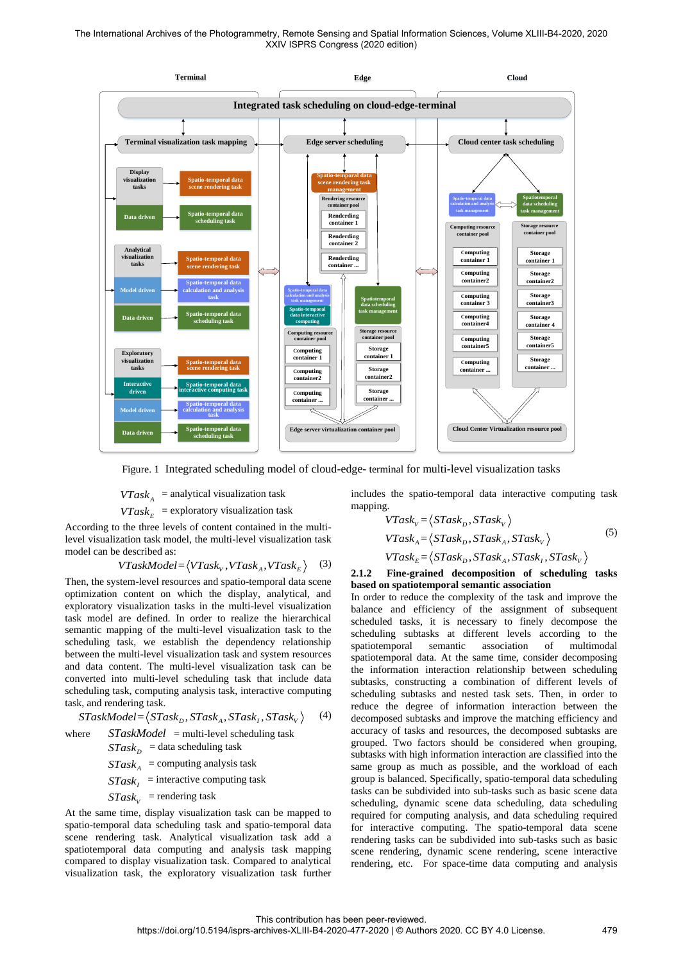The International Archives of the Photogrammetry, Remote Sensing and Spatial Information Sciences, Volume XLIII-B4-2020, 2020 XXIV ISPRS Congress (2020 edition)



Figure. 1 Integrated scheduling model of cloud-edge- terminal for multi-level visualization tasks

 $VTask_A$  = analytical visualization task

 $VTask_E$  = exploratory visualization task

According to the three levels of content contained in the multilevel visualization task model, the multi-level visualization task model can be described as:

$$
VTaskModel = \langle VTask_v, VTask_A, VTask_E \rangle \quad (3)
$$

Then, the system-level resources and spatio-temporal data scene optimization content on which the display, analytical, and exploratory visualization tasks in the multi-level visualization task model are defined. In order to realize the hierarchical semantic mapping of the multi-level visualization task to the scheduling task, we establish the dependency relationship between the multi-level visualization task and system resources and data content. The multi-level visualization task can be converted into multi-level scheduling task that include data scheduling task, computing analysis task, interactive computing task, and rendering task.

$$
STaskModel = \langle STask_D, STask_A, STask_I, STask_V \rangle \tag{4}
$$

where 
$$
STaskModel = \text{multi-level scheduling task}
$$
\n $STask_D = \text{data scheduling task}$ \n $STask_A = \text{computing analysis task}$ \n $STask_I = \text{interactive computing task}$ \n $STask_V = \text{rendering task}$ 

At the same time, display visualization task can be mapped to spatio-temporal data scheduling task and spatio-temporal data scene rendering task. Analytical visualization task add a spatiotemporal data computing and analysis task mapping compared to display visualization task. Compared to analytical visualization task, the exploratory visualization task further

includes the spatio-temporal data interactive computing task mapping.

$$
VTask_v = \langle STask_D, STask_v \rangle
$$
  
\n
$$
VTask_A = \langle STask_D, STask_A, STask_v \rangle
$$
  
\n
$$
VTask_E = \langle STask_D, STask_A, STask_I, STask_v \rangle
$$
  
\n(5)

**2.1.2 Fine-grained decomposition of scheduling tasks based on spatiotemporal semantic association** 

In order to reduce the complexity of the task and improve the balance and efficiency of the assignment of subsequent scheduled tasks, it is necessary to finely decompose the scheduling subtasks at different levels according to the spatiotemporal semantic association of multimodal spatiotemporal data. At the same time, consider decomposing the information interaction relationship between scheduling subtasks, constructing a combination of different levels of scheduling subtasks and nested task sets. Then, in order to reduce the degree of information interaction between the decomposed subtasks and improve the matching efficiency and accuracy of tasks and resources, the decomposed subtasks are grouped. Two factors should be considered when grouping, subtasks with high information interaction are classified into the same group as much as possible, and the workload of each group is balanced. Specifically, spatio-temporal data scheduling tasks can be subdivided into sub-tasks such as basic scene data scheduling, dynamic scene data scheduling, data scheduling required for computing analysis, and data scheduling required for interactive computing. The spatio-temporal data scene rendering tasks can be subdivided into sub-tasks such as basic scene rendering, dynamic scene rendering, scene interactive rendering, etc. For space-time data computing and analysis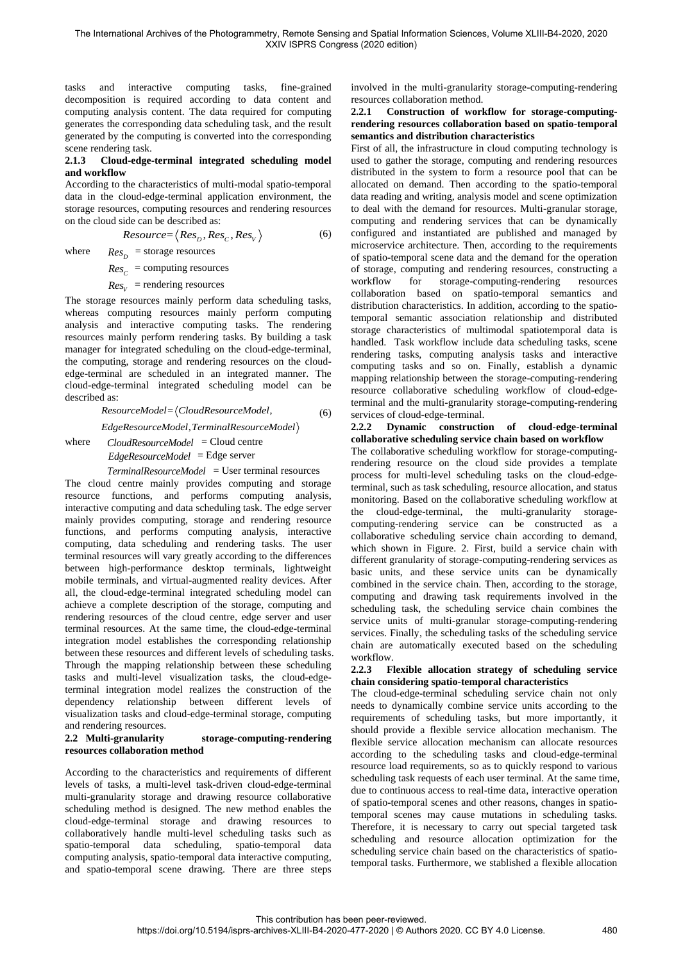tasks and interactive computing tasks, fine-grained decomposition is required according to data content and computing analysis content. The data required for computing generates the corresponding data scheduling task, and the result generated by the computing is converted into the corresponding scene rendering task.

## **2.1.3 Cloud-edge-terminal integrated scheduling model and workflow**

According to the characteristics of multi-modal spatio-temporal data in the cloud-edge-terminal application environment, the storage resources, computing resources and rendering resources on the cloud side can be described as:

$$
Resource = \langle Res_D, Res_C, Res_V \rangle \tag{6}
$$

where  $Res_D$  = storage resources

 $Res_C$  = computing resources

 $Res<sub>V</sub>$  = rendering resources

The storage resources mainly perform data scheduling tasks, whereas computing resources mainly perform computing analysis and interactive computing tasks. The rendering resources mainly perform rendering tasks. By building a task manager for integrated scheduling on the cloud-edge-terminal, the computing, storage and rendering resources on the cloudedge-terminal are scheduled in an integrated manner. The cloud-edge-terminal integrated scheduling model can be described as:

> <sup>=</sup> , *ResourceModel CloudResourceModel* (6)

, *EdgeResourceModel TerminalResourceModel*

where *CloudResourceModel* = Cloud centre *EdgeResourceModel* = Edge server

## *TerminalResourceModel* = User terminal resources

The cloud centre mainly provides computing and storage resource functions, and performs computing analysis, interactive computing and data scheduling task. The edge server mainly provides computing, storage and rendering resource functions, and performs computing analysis, interactive computing, data scheduling and rendering tasks. The user terminal resources will vary greatly according to the differences between high-performance desktop terminals, lightweight mobile terminals, and virtual-augmented reality devices. After all, the cloud-edge-terminal integrated scheduling model can achieve a complete description of the storage, computing and rendering resources of the cloud centre, edge server and user terminal resources. At the same time, the cloud-edge-terminal integration model establishes the corresponding relationship between these resources and different levels of scheduling tasks. Through the mapping relationship between these scheduling tasks and multi-level visualization tasks, the cloud-edgeterminal integration model realizes the construction of the dependency relationship between different levels of visualization tasks and cloud-edge-terminal storage, computing and rendering resources.

#### **2.2 Multi-granularity storage-computing-rendering resources collaboration method**

According to the characteristics and requirements of different levels of tasks, a multi-level task-driven cloud-edge-terminal multi-granularity storage and drawing resource collaborative scheduling method is designed. The new method enables the cloud-edge-terminal storage and drawing resources to collaboratively handle multi-level scheduling tasks such as spatio-temporal data scheduling, spatio-temporal data computing analysis, spatio-temporal data interactive computing, and spatio-temporal scene drawing. There are three steps

involved in the multi-granularity storage-computing-rendering resources collaboration method.

## **2.2.1 Construction of workflow for storage-computingrendering resources collaboration based on spatio-temporal semantics and distribution characteristics**

First of all, the infrastructure in cloud computing technology is used to gather the storage, computing and rendering resources distributed in the system to form a resource pool that can be allocated on demand. Then according to the spatio-temporal data reading and writing, analysis model and scene optimization to deal with the demand for resources. Multi-granular storage, computing and rendering services that can be dynamically configured and instantiated are published and managed by microservice architecture. Then, according to the requirements of spatio-temporal scene data and the demand for the operation of storage, computing and rendering resources, constructing a workflow for storage-computing-rendering resources collaboration based on spatio-temporal semantics and distribution characteristics. In addition, according to the spatiotemporal semantic association relationship and distributed storage characteristics of multimodal spatiotemporal data is handled. Task workflow include data scheduling tasks, scene rendering tasks, computing analysis tasks and interactive computing tasks and so on. Finally, establish a dynamic mapping relationship between the storage-computing-rendering resource collaborative scheduling workflow of cloud-edgeterminal and the multi-granularity storage-computing-rendering services of cloud-edge-terminal.

# **2.2.2 Dynamic construction of cloud-edge-terminal collaborative scheduling service chain based on workflow**

The collaborative scheduling workflow for storage-computingrendering resource on the cloud side provides a template process for multi-level scheduling tasks on the cloud-edgeterminal, such as task scheduling, resource allocation, and status monitoring. Based on the collaborative scheduling workflow at the cloud-edge-terminal, the multi-granularity storagecomputing-rendering service can be constructed as a collaborative scheduling service chain according to demand, which shown in Figure. 2. First, build a service chain with different granularity of storage-computing-rendering services as basic units, and these service units can be dynamically combined in the service chain. Then, according to the storage, computing and drawing task requirements involved in the scheduling task, the scheduling service chain combines the service units of multi-granular storage-computing-rendering services. Finally, the scheduling tasks of the scheduling service chain are automatically executed based on the scheduling workflow.

# **2.2.3 Flexible allocation strategy of scheduling service chain considering spatio-temporal characteristics**

The cloud-edge-terminal scheduling service chain not only needs to dynamically combine service units according to the requirements of scheduling tasks, but more importantly, it should provide a flexible service allocation mechanism. The flexible service allocation mechanism can allocate resources according to the scheduling tasks and cloud-edge-terminal resource load requirements, so as to quickly respond to various scheduling task requests of each user terminal. At the same time, due to continuous access to real-time data, interactive operation of spatio-temporal scenes and other reasons, changes in spatiotemporal scenes may cause mutations in scheduling tasks. Therefore, it is necessary to carry out special targeted task scheduling and resource allocation optimization for the scheduling service chain based on the characteristics of spatiotemporal tasks. Furthermore, we stablished a flexible allocation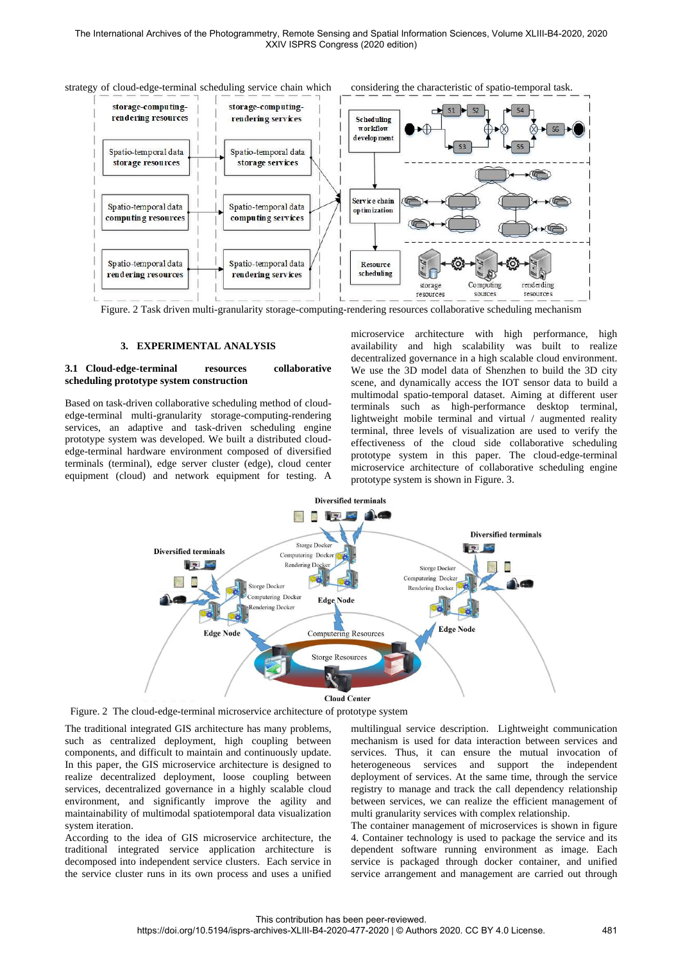

Figure. 2 Task driven multi-granularity storage-computing-rendering resources collaborative scheduling mechanism

## **3. EXPERIMENTAL ANALYSIS**

## **3.1 Cloud-edge-terminal resources collaborative scheduling prototype system construction**

Based on task-driven collaborative scheduling method of cloudedge-terminal multi-granularity storage-computing-rendering services, an adaptive and task-driven scheduling engine prototype system was developed. We built a distributed cloudedge-terminal hardware environment composed of diversified terminals (terminal), edge server cluster (edge), cloud center equipment (cloud) and network equipment for testing. A

microservice architecture with high performance, high availability and high scalability was built to realize decentralized governance in a high scalable cloud environment. We use the 3D model data of Shenzhen to build the 3D city scene, and dynamically access the IOT sensor data to build a multimodal spatio-temporal dataset. Aiming at different user terminals such as high-performance desktop terminal, lightweight mobile terminal and virtual / augmented reality terminal, three levels of visualization are used to verify the effectiveness of the cloud side collaborative scheduling prototype system in this paper. The cloud-edge-terminal microservice architecture of collaborative scheduling engine prototype system is shown in Figure. 3.



Figure. 2 The cloud-edge-terminal microservice architecture of prototype system

The traditional integrated GIS architecture has many problems, such as centralized deployment, high coupling between components, and difficult to maintain and continuously update. In this paper, the GIS microservice architecture is designed to realize decentralized deployment, loose coupling between services, decentralized governance in a highly scalable cloud environment, and significantly improve the agility and maintainability of multimodal spatiotemporal data visualization system iteration.

According to the idea of GIS microservice architecture, the traditional integrated service application architecture is decomposed into independent service clusters. Each service in the service cluster runs in its own process and uses a unified multilingual service description. Lightweight communication mechanism is used for data interaction between services and services. Thus, it can ensure the mutual invocation of heterogeneous services and support the independent deployment of services. At the same time, through the service registry to manage and track the call dependency relationship between services, we can realize the efficient management of multi granularity services with complex relationship.

The container management of microservices is shown in figure 4. Container technology is used to package the service and its dependent software running environment as image. Each service is packaged through docker container, and unified service arrangement and management are carried out through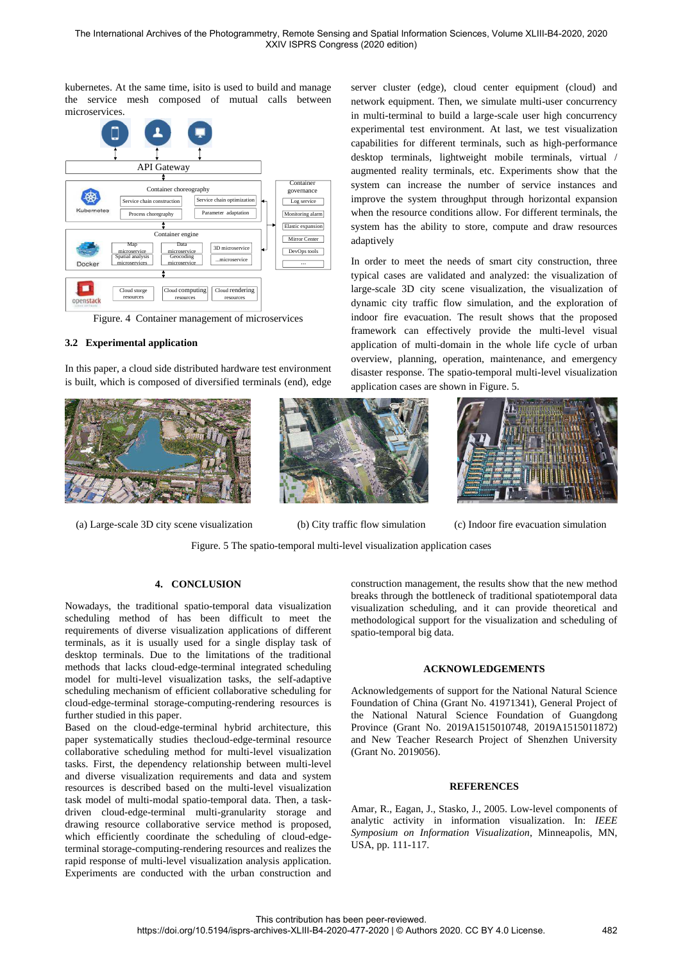kubernetes. At the same time, isito is used to build and manage the service mesh composed of mutual calls between microservices.



Figure. 4 Container management of microservices

# **3.2 Experimental application**

In this paper, a cloud side distributed hardware test environment is built, which is composed of diversified terminals (end), edge



(a) Large-scale 3D city scene visualization (b) City traffic flow simulation (c) Indoor fire evacuation simulation

server cluster (edge), cloud center equipment (cloud) and network equipment. Then, we simulate multi-user concurrency in multi-terminal to build a large-scale user high concurrency experimental test environment. At last, we test visualization capabilities for different terminals, such as high-performance desktop terminals, lightweight mobile terminals, virtual / augmented reality terminals, etc. Experiments show that the system can increase the number of service instances and improve the system throughput through horizontal expansion when the resource conditions allow. For different terminals, the system has the ability to store, compute and draw resources adaptively

In order to meet the needs of smart city construction, three typical cases are validated and analyzed: the visualization of large-scale 3D city scene visualization, the visualization of dynamic city traffic flow simulation, and the exploration of indoor fire evacuation. The result shows that the proposed framework can effectively provide the multi-level visual application of multi-domain in the whole life cycle of urban overview, planning, operation, maintenance, and emergency disaster response. The spatio-temporal multi-level visualization application cases are shown in Figure. 5.



Figure. 5 The spatio-temporal multi-level visualization application cases

## **4. CONCLUSION**

Nowadays, the traditional spatio-temporal data visualization scheduling method of has been difficult to meet the requirements of diverse visualization applications of different terminals, as it is usually used for a single display task of desktop terminals. Due to the limitations of the traditional methods that lacks cloud-edge-terminal integrated scheduling model for multi-level visualization tasks, the self-adaptive scheduling mechanism of efficient collaborative scheduling for cloud-edge-terminal storage-computing-rendering resources is further studied in this paper.

Based on the cloud-edge-terminal hybrid architecture, this paper systematically studies thecloud-edge-terminal resource collaborative scheduling method for multi-level visualization tasks. First, the dependency relationship between multi-level and diverse visualization requirements and data and system resources is described based on the multi-level visualization task model of multi-modal spatio-temporal data. Then, a taskdriven cloud-edge-terminal multi-granularity storage and drawing resource collaborative service method is proposed, which efficiently coordinate the scheduling of cloud-edgeterminal storage-computing-rendering resources and realizes the rapid response of multi-level visualization analysis application. Experiments are conducted with the urban construction and

construction management, the results show that the new method breaks through the bottleneck of traditional spatiotemporal data visualization scheduling, and it can provide theoretical and methodological support for the visualization and scheduling of spatio-temporal big data.

#### **ACKNOWLEDGEMENTS**

Acknowledgements of support for the National Natural Science Foundation of China (Grant No. 41971341), General Project of the National Natural Science Foundation of Guangdong Province (Grant No. 2019A1515010748, 2019A1515011872) and New Teacher Research Project of Shenzhen University (Grant No. 2019056).

## **REFERENCES**

Amar, R., Eagan, J., Stasko, J., 2005. Low-level components of analytic activity in information visualization. In: *IEEE Symposium on Information Visualization*, Minneapolis, MN, USA, pp. 111-117.